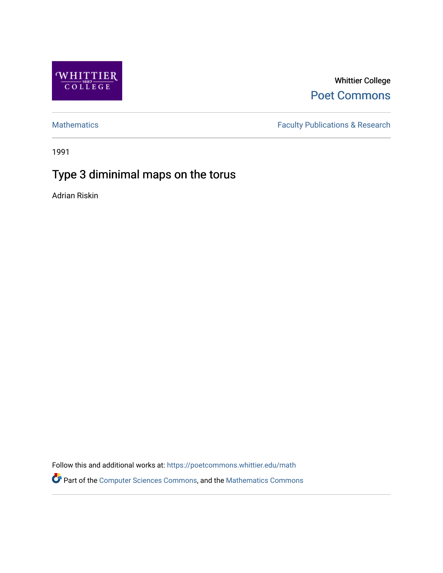

Whittier College [Poet Commons](https://poetcommons.whittier.edu/) 

[Mathematics](https://poetcommons.whittier.edu/math) **Faculty Publications & Research** 

1991

# Type 3 diminimal maps on the torus

Adrian Riskin

Follow this and additional works at: [https://poetcommons.whittier.edu/math](https://poetcommons.whittier.edu/math?utm_source=poetcommons.whittier.edu%2Fmath%2F7&utm_medium=PDF&utm_campaign=PDFCoverPages) Part of the [Computer Sciences Commons](http://network.bepress.com/hgg/discipline/142?utm_source=poetcommons.whittier.edu%2Fmath%2F7&utm_medium=PDF&utm_campaign=PDFCoverPages), and the [Mathematics Commons](http://network.bepress.com/hgg/discipline/174?utm_source=poetcommons.whittier.edu%2Fmath%2F7&utm_medium=PDF&utm_campaign=PDFCoverPages)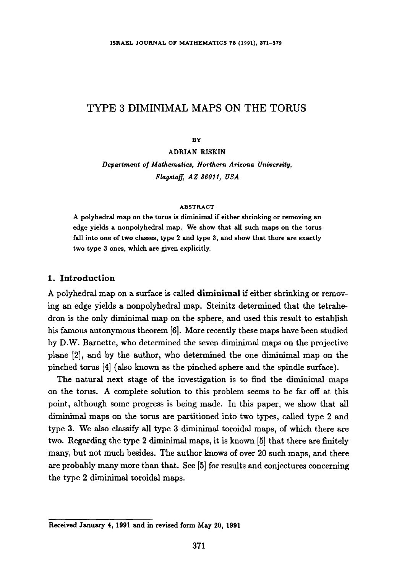# TYPE 3 DIMINIMAL MAPS ON THE TORUS

BY

ADRIAN RISKIN *Department of Mathematics, Northern Arizona University, Flagsta~, AZ 86011, USA* 

### ABSTRACT

A polyhedral map on the torus is diminimal if either shrinking or removing an **edge** yields a nonpolyhedral map. We show that all such **maps on the** torus fall into one of two classes, type 2 and type 3, and show that there are exactly **two** type 3 ones, which are given explicitly.

# **1. Introduction**

A polyhedral map on a surface is called diminimal if either shrinking or removing an edge yields a nonpolyhedral map. Steinitz determined that the tetrahedron is the only diminimal map on the sphere, and used this result to establish his famous autonymous theorem [6]. More recently these maps have been studied by D.W. Barnette, who determined the seven diminimal maps on the projective plane [2], and by the author, who determined the one diminimal map on the pinched torus [4] (also known as the pinched sphere and the spindle surface).

The natural next stage of the investigation is to find the diminimal maps on the torus. A complete solution to this problem seems to be far off at this point, although some progress is being made. In this paper, we show that all diminimal maps on the torus are partitioned into two types, called type 2 and type 3. We also classify all type 3 diminimal toroidal maps, of which there are two. Regarding the type 2 diminimal maps, it is known [5] that there are finitely many, but not much besides. The author knows of over 20 such maps, and there are probably many more than that. See [5] for results and conjectures concerning the type 2 diminimal toroidal maps.

**Received January 4, 1991 and in revised form May 20, 1991**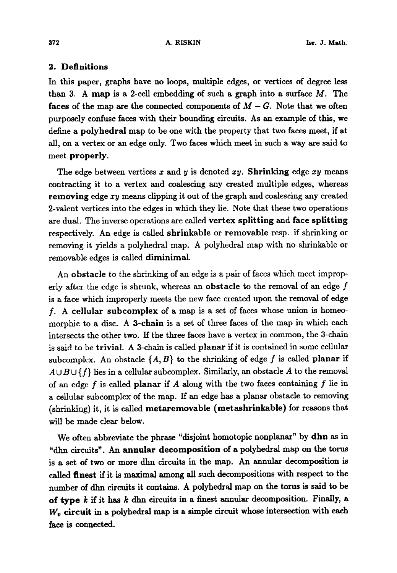### **2. Definitions**

In this paper, graphs have no loops, multiple edges, or vertices of degree less than 3. A map is a 2-cell embedding of such a graph into a surface  $M$ . The faces of the map are the connected components of  $M - G$ . Note that we often purposely confuse faces with their bounding circuits. As an example of this, we define a polyhedral map to be one with the property that two faces meet, if at all, on a vertex or an edge only. Two faces which meet in such a way are said to meet properly.

The edge between vertices x and y is denoted  $xy$ . Shrinking edge xy means contracting it to a vertex and coalescing any created multiple edges, whereas removing edge  $xy$  means clipping it out of the graph and coalescing any created 2-valent vertices into the edges in which they lie. Note that these two operations are dual. The inverse operations are called vertex splitting and face splitting respectively. An edge is called shrinkable or removable resp. if shrinking or removing it yields a polyhedral map. A polyhedral map with no shrinkable or removable edges is called diminimal.

An obstacle to the shrinking of an edge is a pair of faces which meet improperly after the edge is shrunk, whereas an obstacle to the removal of an edge  $f$ is a face which improperly meets the new face created upon the removal of edge f. A cellular subcomplex of a map is a set of faces whose union is homeomorphic to a disc. A 3-chain is a set of three faces of the map in which each intersects the other two. If the three faces have a vertex in common, the 3-chain is said to be trivial. A 3-chain is called planar if it is contained in some cellular subcomplex. An obstacle  $\{A, B\}$  to the shrinking of edge f is called planar if  $A \cup B \cup \{f\}$  lies in a cellular subcomplex. Similarly, an obstacle A to the removal of an edge f is called planar if  $A$  along with the two faces containing  $f$  lie in a cellular subcomplex of the map. If an edge has a planar obstacle to removing (shrinking) it, it is called metaremovable (metashrinkable) for reasons that will be made clear below.

We often abbreviate the phrase "disjoint homotopic nonplanar" by dhn as in "dhn circuits". An annular decomposition of a polyhedral map on the torus is a set of two or more dim circuits in the map. An annular decomposition is called finest if it is maximal among all such decompositions with respect to the number of dhn circuits it contains. A polyhedral map on the toms is said to be of type  $k$  if it has  $k$  dhn circuits in a finest annular decomposition. Finally, a  $W_{v}$  circuit in a polyhedral map is a simple circuit whose intersection with each face is connected.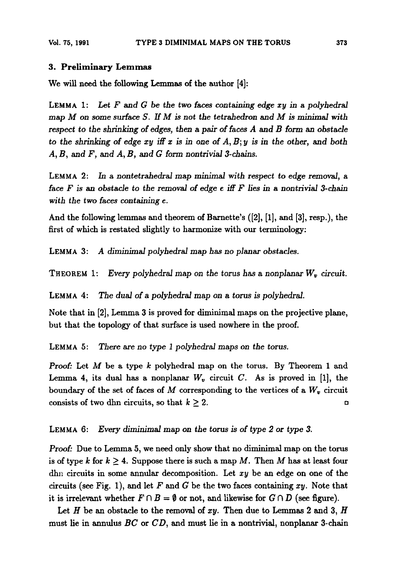# **3. Preliminary** Lemmas

We will need the following Lemmas of the author [4]:

LEMMA 1: Let F and G be the two faces containing edge xy in a polyhedral map M on *some surface S. If M is* not *the tetrahedron and M is* minimal *with respect to the shrinking of edges, then a pair of faces A and B form an obstacle* to the shrinking of edge  $xy$  iff  $x$  is in one of  $A, B; y$  is in the other, and both *A, B, and F, and A, B, and G form nontrivial 3-chains.* 

LEMMA 2: In a nontetrahedral map minimal with respect to edge removal, a *face F is an obstacle to the* removal of *edge e if[ F lies in a nontrivial 3-chain with the two* faces *containing e.* 

And the following lemmas and theorem of Barnette's ([2], [1], and [3], resp.), the first of which is restated slightly to harmonize with our terminology:

LEMMA 3: *A diminimal polyhedral* map has no *planar obstacles.* 

THEOREM 1: Every polyhedral map on the torus has a nonplanar  $W<sub>v</sub>$  circuit.

LEMMA 4: *The dual of a polyhedral map on a torus is polyhedral.* 

Note that in [2], Lemma 3 is proved for diminimal maps on the projective plane, but that the topology of that surface is used nowhere in the proof.

LEMMA 5: There are no type 1 polyhedral maps on the torus.

Proof: Let  $M$  be a type  $k$  polyhedral map on the torus. By Theorem 1 and Lemma 4, its dual has a nonplanar  $W_v$  circuit C. As is proved in [1], the boundary of the set of faces of  $M$  corresponding to the vertices of a  $W_v$  circuit consists of two dhn circuits, so that  $k \geq 2$ .

### LEMMA 6: *Every diminimal map on the torus is of type 2 or type 3.*

*Proof:* Due to Lemma 5, we need only show that no diminimal map on the torus is of type k for  $k \geq 4$ . Suppose there is such a map M. Then M has at least four dhn circuits in some annular decomposition. Let  $xy$  be an edge on one of the circuits (see Fig. 1), and let F and G be the two faces containing  $xy$ . Note that it is irrelevant whether  $F \cap B = \emptyset$  or not, and likewise for  $G \cap D$  (see figure).

Let  $H$  be an obstacle to the removal of  $xy$ . Then due to Lemmas 2 and 3,  $H$ must lie in annulus  $BC$  or  $CD$ , and must lie in a nontrivial, nonplanar 3-chain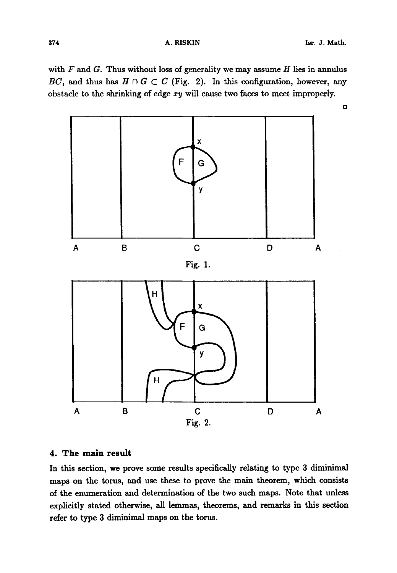with  $F$  and  $G$ . Thus without loss of generality we may assume  $H$  lies in annulus *BC*, and thus has  $H \cap G \subset C$  (Fig. 2). In this configuration, however, any obstacle to the shrinking of edge xy will cause two faces to meet improperly.



# **4. The main result**

In this section, we prove some results specifically relating to type 3 diminimal maps on the toms, and use these to prove the main theorem, which consists of the enumeration and determination of the two such maps. Note that unless explicitly stated otherwise, all lemmas, theorems, and remarks in this section refer to type 3 diminimal maps on the torus.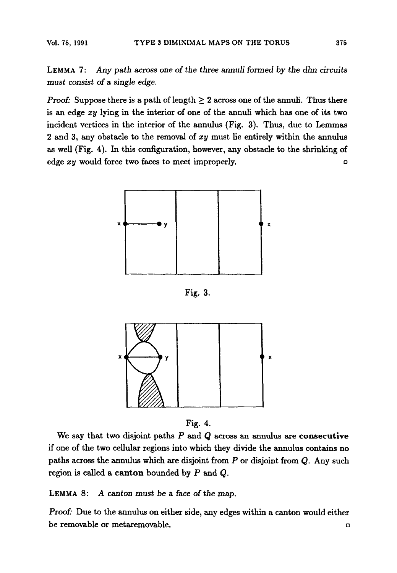LEMMA 7: *Any path across* one of *the three annuli formed by the dhn circuits*  must *consist of a single edge.* 

*Proof:* Suppose there is a path of length  $\geq 2$  across one of the annuli. Thus there is an edge *zy* lying in the interior of one of the annuli which has one of its two incident vertices in the interior of the annulus (Fig. 3). Thus, due to Lemmas 2 and 3, any obstacle to the removal of *zy* must lie entirely within the annulus as well (Fig. 4). In this configuration, however, any obstacle to the shrinking of edge *xy* would force two faces to meet improperly, and  $\Box$ 



Fig. 3.



Fig. 4.

We say that two disjoint paths  $P$  and  $Q$  across an annulus are **consecutive** if one of the two cellular regions into which they divide the annulus contains no paths across the annulus which axe disjoint from P or disjoint from Q. Any such region is called a canton bounded by  $P$  and  $Q$ .

LEMMA 8: *A canton must be a face of the map.* 

Proof: Due to the annulus on either side, any edges within a canton would either be removable or metaremovable.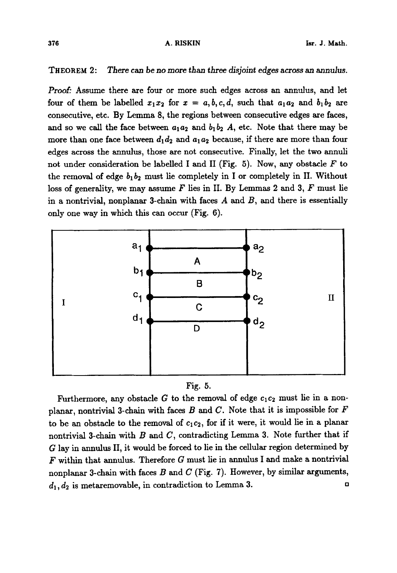### THEOREM 2: There can be no more than three *disjoint* edges across an annu/us.

Proof: Assume there are four or more such edges across an annulus, and let four of them be labelled  $x_1x_2$  for  $x = a, b, c, d$ , such that  $a_1a_2$  and  $b_1b_2$  are consecutive, etc. By Lemma 8, the regions between consecutive edges are faces, and so we call the face between  $a_1a_2$  and  $b_1b_2$  A, etc. Note that there may be more than one face between  $d_1 d_2$  and  $a_1 a_2$  because, if there are more than four edges across the annulus, those are not consecutive. Finally, let the two annuli not under consideration be labelled I and II (Fig. 5). Now, any obstacle  $F$  to the removal of edge  $b_1b_2$  must lie completely in I or completely in II. Without loss of generality, we may assume  $F$  lies in II. By Lemmas 2 and 3,  $F$  must lie in a nontrivial, nonplanar 3-chain with faces  $A$  and  $B$ , and there is essentially only one way in which this can occur (Fig. 6).





Furthermore, any obstacle G to the removal of edge  $c_1c_2$  must lie in a nonplanar, nontrivial 3-chain with faces B and C. Note that it is impossible for  $F$ to be an obstacle to the removal of  $c_1c_2$ , for if it were, it would lie in a planar nontrivial 3-chain with  $B$  and  $C$ , contradicting Lemma 3. Note further that if G lay in annulus II, it would be forced to lie in the cellular region determined by  $F$  within that annulus. Therefore  $G$  must lie in annulus I and make a nontrivial nonplanar 3-chain with faces  $B$  and  $C$  (Fig. 7). However, by similar arguments,  $d_1, d_2$  is metaremovable, in contradiction to Lemma 3.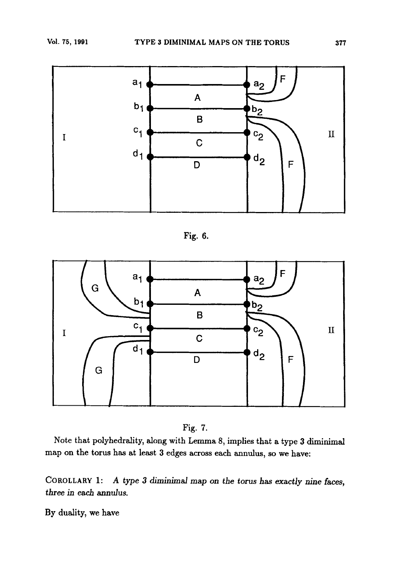

**Fig. 6.** 





**Note that polyhedrality, along with Lemma 8, implies that a type 3 diminimal map on the torus has at least 3 edges across each annulus, so we have:** 

**COROLLARY 1** : **A type 3 diminimd map on the torus has exactly nine faces, three in each annulus.** 

**By duality, we have**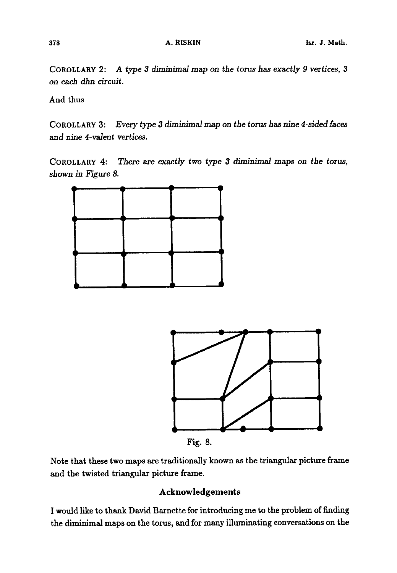COROLLARY 2: *A type 3 diminimal map on the toms has exactly 9 vertices, 3 on each dhn* circuit.

And thus

COROLLARY 3: *Every type 3 diminimal* map *on the torus has nine 4-sided faces*  and nine *4-valent vertices.* 

COROLLARY 4: There are exactly two type 3 diminimal maps on the torus, *shown in Figure 8.* 





Fig. 8.

Note that these two maps are traditionally known as the triangular picture frame and the twisted triangular picture frame.

# **Acknowledgements**

I would like to thank David Barnette for introducing me to the problem of finding the diminimal maps on the torus, and for many illuminating conversations on the